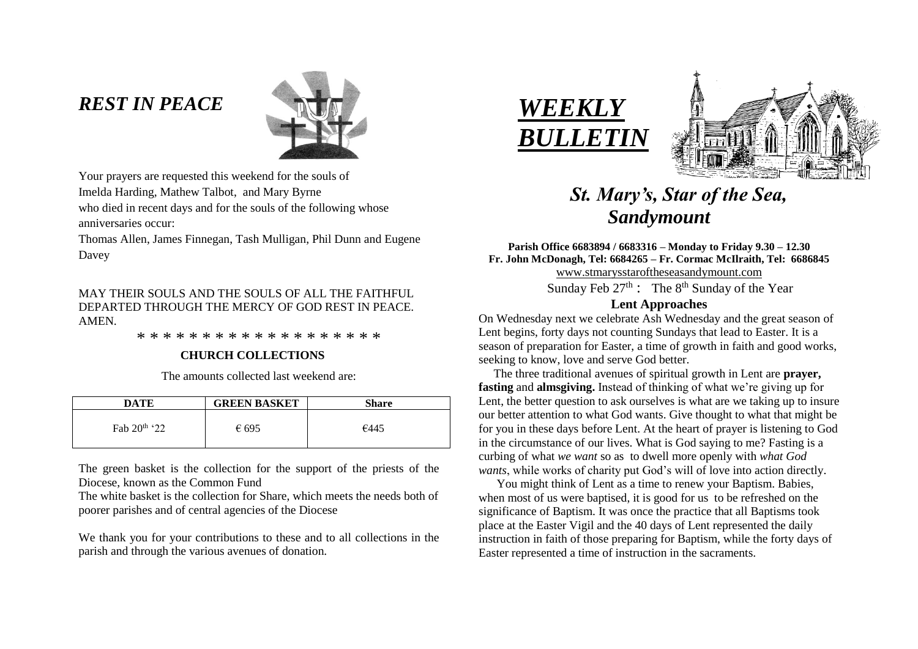# *REST IN PEACE*



Your prayers are requested this weekend for the souls of Imelda Harding, Mathew Talbot, and Mary Byrne who died in recent days and for the souls of the following whose anniversaries occur:

Thomas Allen, James Finnegan, Tash Mulligan, Phil Dunn and Eugene Davey

# MAY THEIR SOULS AND THE SOULS OF ALL THE FAITHFUL. DEPARTED THROUGH THE MERCY OF GOD REST IN PEACE. AMEN.

\* \* \* \* \* \* \* \* \* \* \* \* \* \* \* \* \* \* \*

# **CHURCH COLLECTIONS**

The amounts collected last weekend are:

| <b>DATE</b>              | <b>GREEN BASKET</b> | <b>Share</b> |
|--------------------------|---------------------|--------------|
| Fab 20 <sup>th</sup> '22 | € 695               | €445         |

The green basket is the collection for the support of the priests of the Diocese, known as the Common Fund

The white basket is the collection for Share, which meets the needs both of poorer parishes and of central agencies of the Diocese

We thank you for your contributions to these and to all collections in the parish and through the various avenues of donation.





# *St. Mary's, Star of the Sea, Sandymount*

## **Parish Office 6683894 / 6683316 – Monday to Friday 9.30 – 12.30 Fr. John McDonagh, Tel: 6684265 – Fr. Cormac McIlraith, Tel: 6686845** [www.stmarysstaroftheseasandymount.com](http://www.stmarysstaroftheseasandymount.com/)

Sunday Feb  $27<sup>th</sup>$ : The  $8<sup>th</sup>$  Sunday of the Year

# **Lent Approaches**

On Wednesday next we celebrate Ash Wednesday and the great season of Lent begins, forty days not counting Sundays that lead to Easter. It is a season of preparation for Easter, a time of growth in faith and good works, seeking to know, love and serve God better.

 The three traditional avenues of spiritual growth in Lent are **prayer, fasting** and **almsgiving.** Instead of thinking of what we're giving up for Lent, the better question to ask ourselves is what are we taking up to insure our better attention to what God wants. Give thought to what that might be for you in these days before Lent. At the heart of prayer is listening to God in the circumstance of our lives. What is God saying to me? Fasting is a curbing of what *we want* so as to dwell more openly with *what God wants*, while works of charity put God's will of love into action directly.

 You might think of Lent as a time to renew your Baptism. Babies, when most of us were baptised, it is good for us to be refreshed on the significance of Baptism. It was once the practice that all Baptisms took place at the Easter Vigil and the 40 days of Lent represented the daily instruction in faith of those preparing for Baptism, while the forty days of Easter represented a time of instruction in the sacraments.